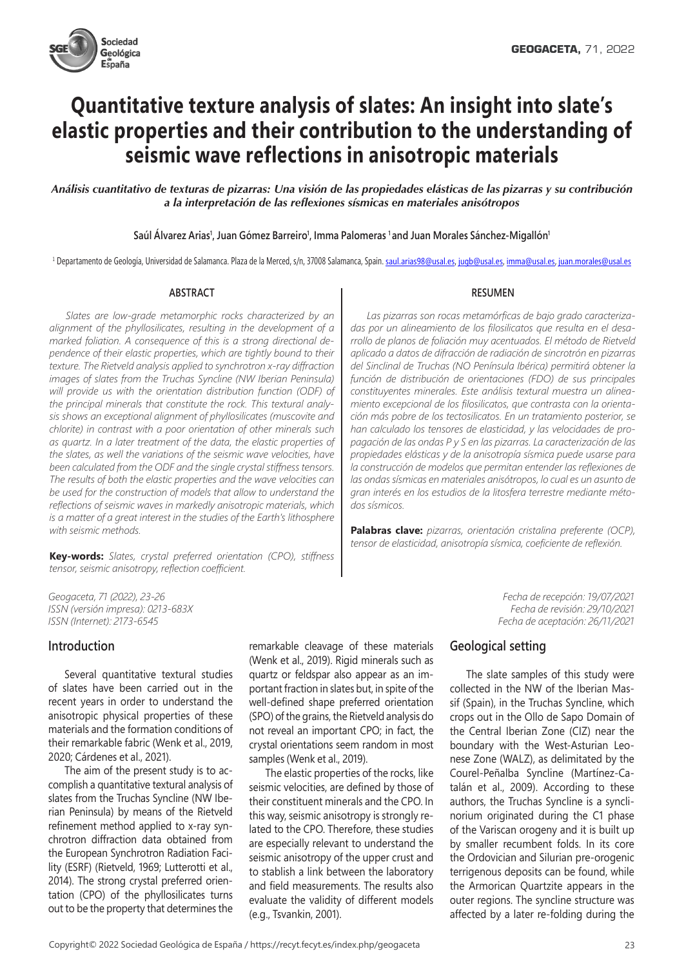

# **Quantitative texture analysis of slates: An insight into slate's elastic properties and their contribution to the understanding of seismic wave reflections in anisotropic materials**

*Análisis cuantitativo de texturas de pizarras: Una visión de las propiedades elásticas de las pizarras y su contribución a la interpretación de las reflexiones sísmicas en materiales anisótropos* 

Saúl Alvarez Arias<sup>1</sup>, Juan Gómez Barreiro<sup>1</sup>, Imma Palomeras <sup>1</sup> and Juan Morales Sánchez-Migallón<sup>1</sup>

<sup>1</sup> Departamento de Geología, Universidad de Salamanca. Plaza de la Merced, s/n, 37008 Salamanca, Spain. <u>[saul.arias98@usal.es,](mailto:saul.arias98@usal.es) [jugb@usal.es,](mailto:jugb@usal.es) [imma@usal.es](mailto:imma@usal.es), [juan.morales@usal.es](mailto:juan.morales@usal.es)</u>

#### **ABSTRACT**

*Slates are low-grade metamorphic rocks characterized by an alignment of the phyllosilicates, resulting in the development of a marked foliation. A consequence of this is a strong directional dependence of their elastic properties, which are tightly bound to their texture. The Rietveld analysis applied to synchrotron x-ray diffraction images of slates from the Truchas Syncline (NW Iberian Peninsula) will provide us with the orientation distribution function (ODF) of the principal minerals that constitute the rock. This textural analysis shows an exceptional alignment of phyllosilicates (muscovite and chlorite) in contrast with a poor orientation of other minerals such as quartz. In a later treatment of the data, the elastic properties of the slates, as well the variations of the seismic wave velocities, have been calculated from the ODF and the single crystal stiffness tensors. The results of both the elastic properties and the wave velocities can be used for the construction of models that allow to understand the reflections of seismic waves in markedly anisotropic materials, which is a matter of a great interest in the studies of the Earth's lithosphere with seismic methods.*

**Key-words:** *Slates, crystal preferred orientation (CPO), stiffness tensor, seismic anisotropy, reflection coefficient.*

*Geogaceta, 71 (2022), 23-26 Fecha de recepción: 19/07/2021 ISSN (versión impresa): 0213-683X Fecha de revisión: 29/10/2021 ISSN (Internet): 2173-6545 Fecha de aceptación: 26/11/2021*

## **Introduction**

Several quantitative textural studies of slates have been carried out in the recent years in order to understand the anisotropic physical properties of these materials and the formation conditions of their remarkable fabric (Wenk et al., 2019, 2020; Cárdenes et al., 2021).

The aim of the present study is to accomplish a quantitative textural analysis of slates from the Truchas Syncline (NW Iberian Peninsula) by means of the Rietveld refinement method applied to x-ray synchrotron diffraction data obtained from the European Synchrotron Radiation Facility (ESRF) (Rietveld, 1969; Lutterotti et al., 2014). The strong crystal preferred orientation (CPO) of the phyllosilicates turns out to be the property that determines the remarkable cleavage of these materials (Wenk et al., 2019). Rigid minerals such as quartz or feldspar also appear as an important fraction in slates but, in spite of the well-defined shape preferred orientation (SPO) of the grains, the Rietveld analysis do not reveal an important CPO; in fact, the crystal orientations seem random in most samples (Wenk et al., 2019).

The elastic properties of the rocks, like seismic velocities, are defined by those of their constituent minerals and the CPO. In this way, seismic anisotropy is strongly related to the CPO. Therefore, these studies are especially relevant to understand the seismic anisotropy of the upper crust and to stablish a link between the laboratory and field measurements. The results also evaluate the validity of different models (e.g., Tsvankin, 2001).

#### **RESUMEN**

*Las pizarras son rocas metamórficas de bajo grado caracterizadas por un alineamiento de los filosilicatos que resulta en el desarrollo de planos de foliación muy acentuados. El método de Rietveld aplicado a datos de difracción de radiación de sincrotrón en pizarras del Sinclinal de Truchas (NO Península Ibérica) permitirá obtener la función de distribución de orientaciones (FDO) de sus principales constituyentes minerales. Este análisis textural muestra un alineamiento excepcional de los filosilicatos, que contrasta con la orientación más pobre de los tectosilicatos. En un tratamiento posterior, se han calculado los tensores de elasticidad, y las velocidades de propagación de las ondas P y S en las pizarras. La caracterización de las propiedades elásticas y de la anisotropía sísmica puede usarse para la construcción de modelos que permitan entender las reflexiones de las ondas sísmicas en materiales anisótropos, lo cual es un asunto de gran interés en los estudios de la litosfera terrestre mediante métodos sísmicos.*

**Palabras clave:** *pizarras, orientación cristalina preferente (OCP), tensor de elasticidad, anisotropía sísmica, coeficiente de reflexión.*

## **Geological setting**

The slate samples of this study were collected in the NW of the Iberian Massif (Spain), in the Truchas Syncline, which crops out in the Ollo de Sapo Domain of the Central Iberian Zone (CIZ) near the boundary with the West-Asturian Leonese Zone (WALZ), as delimitated by the Courel-Peñalba Syncline (Martínez-Catalán et al., 2009). According to these authors, the Truchas Syncline is a synclinorium originated during the C1 phase of the Variscan orogeny and it is built up by smaller recumbent folds. In its core the Ordovician and Silurian pre-orogenic terrigenous deposits can be found, while the Armorican Quartzite appears in the outer regions. The syncline structure was affected by a later re-folding during the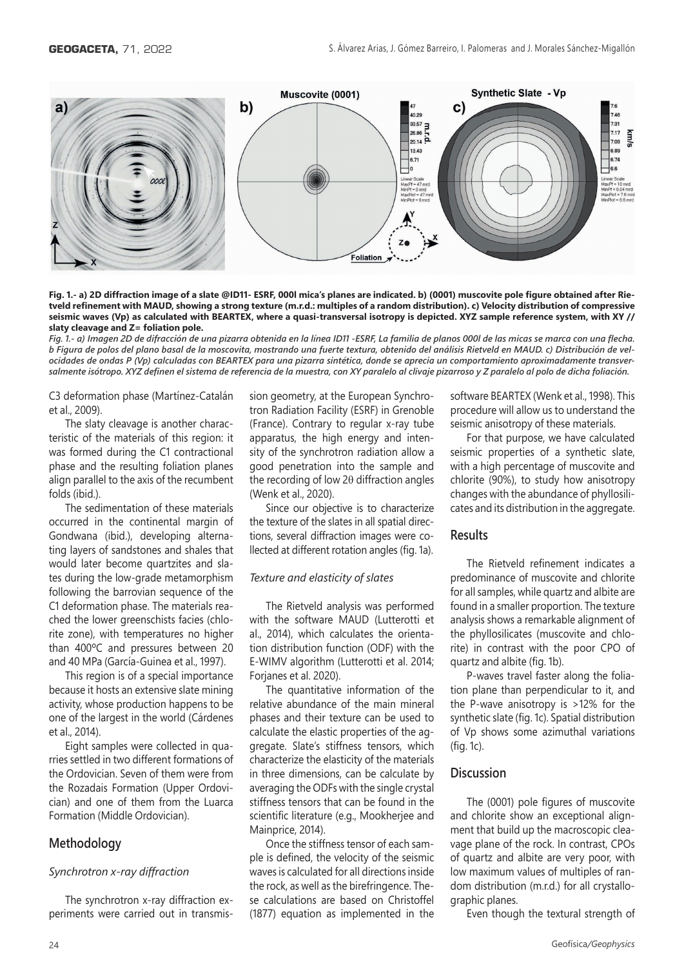

**Fig. 1.- a) 2D diffraction image of a slate @ID11- ESRF, 000l mica's planes are indicated. b) (0001) muscovite pole figure obtained after Rietveld refinement with MAUD, showing a strong texture (m.r.d.: multiples of a random distribution). c) Velocity distribution of compressive seismic waves (Vp) as calculated with BEARTEX, where a quasi-transversal isotropy is depicted. XYZ sample reference system, with XY // slaty cleavage and Z= foliation pole.** 

*Fig. 1.- a) Imagen 2D de difracción de una pizarra obtenida en la línea ID11 -ESRF, La familia de planos 000l de las micas se marca con una flecha. b Figura de polos del plano basal de la moscovita, mostrando una fuerte textura, obtenido del análisis Rietveld en MAUD. c) Distribución de velocidades de ondas P (Vp) calculadas con BEARTEX para una pizarra sintética, donde se aprecia un comportamiento aproximadamente transversalmente isótropo. XYZ definen el sistema de referencia de la muestra, con XY paralelo al clivaje pizarroso y Z paralelo al polo de dicha foliación.*

C3 deformation phase (Martínez-Catalán et al., 2009).

The slaty cleavage is another characteristic of the materials of this region: it was formed during the C1 contractional phase and the resulting foliation planes align parallel to the axis of the recumbent folds (ibid.).

The sedimentation of these materials occurred in the continental margin of Gondwana (ibid.), developing alternating layers of sandstones and shales that would later become quartzites and slates during the low-grade metamorphism following the barrovian sequence of the C1 deformation phase. The materials reached the lower greenschists facies (chlorite zone), with temperatures no higher than 400ºC and pressures between 20 and 40 MPa (García-Guinea et al., 1997).

This region is of a special importance because it hosts an extensive slate mining activity, whose production happens to be one of the largest in the world (Cárdenes et al., 2014).

Eight samples were collected in quarries settled in two different formations of the Ordovician. Seven of them were from the Rozadais Formation (Upper Ordovician) and one of them from the Luarca Formation (Middle Ordovician).

# **Methodology**

### *Synchrotron x-ray diffraction*

The synchrotron x-ray diffraction experiments were carried out in transmis-

sion geometry, at the European Synchrotron Radiation Facility (ESRF) in Grenoble (France). Contrary to regular x-ray tube apparatus, the high energy and intensity of the synchrotron radiation allow a good penetration into the sample and the recording of low  $2\theta$  diffraction angles (Wenk et al., 2020).

Since our objective is to characterize the texture of the slates in all spatial directions, several diffraction images were collected at different rotation angles (fig. 1a).

#### *Texture and elasticity of slates*

The Rietveld analysis was performed with the software MAUD (Lutterotti et al., 2014), which calculates the orientation distribution function (ODF) with the E-WIMV algorithm (Lutterotti et al. 2014; Forjanes et al. 2020).

The quantitative information of the relative abundance of the main mineral phases and their texture can be used to calculate the elastic properties of the aggregate. Slate's stiffness tensors, which characterize the elasticity of the materials in three dimensions, can be calculate by averaging the ODFs with the single crystal stiffness tensors that can be found in the scientific literature (e.g., Mookherjee and Mainprice, 2014).

Once the stiffness tensor of each sample is defined, the velocity of the seismic waves is calculated for all directions inside the rock, as well as the birefringence. These calculations are based on Christoffel (1877) equation as implemented in the software BEARTEX (Wenk et al., 1998). This procedure will allow us to understand the seismic anisotropy of these materials.

For that purpose, we have calculated seismic properties of a synthetic slate, with a high percentage of muscovite and chlorite (90%), to study how anisotropy changes with the abundance of phyllosilicates and its distribution in the aggregate.

## **Results**

The Rietveld refinement indicates a predominance of muscovite and chlorite for all samples, while quartz and albite are found in a smaller proportion. The texture analysis shows a remarkable alignment of the phyllosilicates (muscovite and chlorite) in contrast with the poor CPO of quartz and albite (fig. 1b).

P-waves travel faster along the foliation plane than perpendicular to it, and the P-wave anisotropy is >12% for the synthetic slate (fig. 1c). Spatial distribution of Vp shows some azimuthal variations (fig. 1c).

## **Discussion**

The (0001) pole figures of muscovite and chlorite show an exceptional alignment that build up the macroscopic cleavage plane of the rock. In contrast, CPOs of quartz and albite are very poor, with low maximum values of multiples of random distribution (m.r.d.) for all crystallographic planes.

Even though the textural strength of